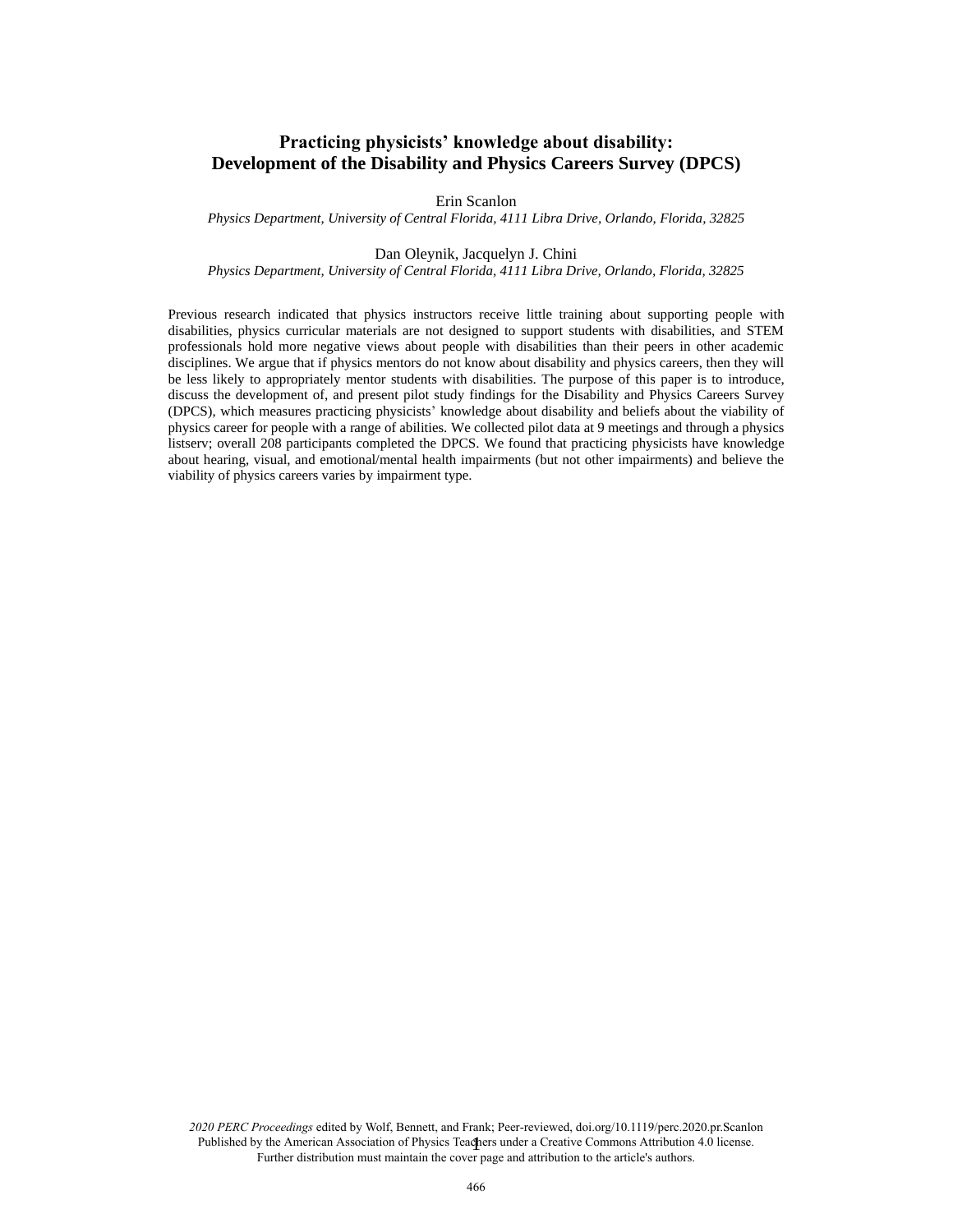# **Practicing physicists' knowledge about disability: Development of the Disability and Physics Careers Survey (DPCS)**

Erin Scanlon

*Physics Department, University of Central Florida, 4111 Libra Drive, Orlando, Florida, 32825*

#### Dan Oleynik, Jacquelyn J. Chini

*Physics Department, University of Central Florida, 4111 Libra Drive, Orlando, Florida, 32825*

Previous research indicated that physics instructors receive little training about supporting people with disabilities, physics curricular materials are not designed to support students with disabilities, and STEM professionals hold more negative views about people with disabilities than their peers in other academic disciplines. We argue that if physics mentors do not know about disability and physics careers, then they will be less likely to appropriately mentor students with disabilities. The purpose of this paper is to introduce, discuss the development of, and present pilot study findings for the Disability and Physics Careers Survey (DPCS), which measures practicing physicists' knowledge about disability and beliefs about the viability of physics career for people with a range of abilities. We collected pilot data at 9 meetings and through a physics listserv; overall 208 participants completed the DPCS. We found that practicing physicists have knowledge about hearing, visual, and emotional/mental health impairments (but not other impairments) and believe the viability of physics careers varies by impairment type.

Published by the American Association of Physics Teachers under a Creative Commons Attribution 4.0 license. *2020 PERC Proceedings* edited by Wolf, Bennett, and Frank; Peer-reviewed, doi.org/10.1119/perc.2020.pr.Scanlon Further distribution must maintain the cover page and attribution to the article's authors.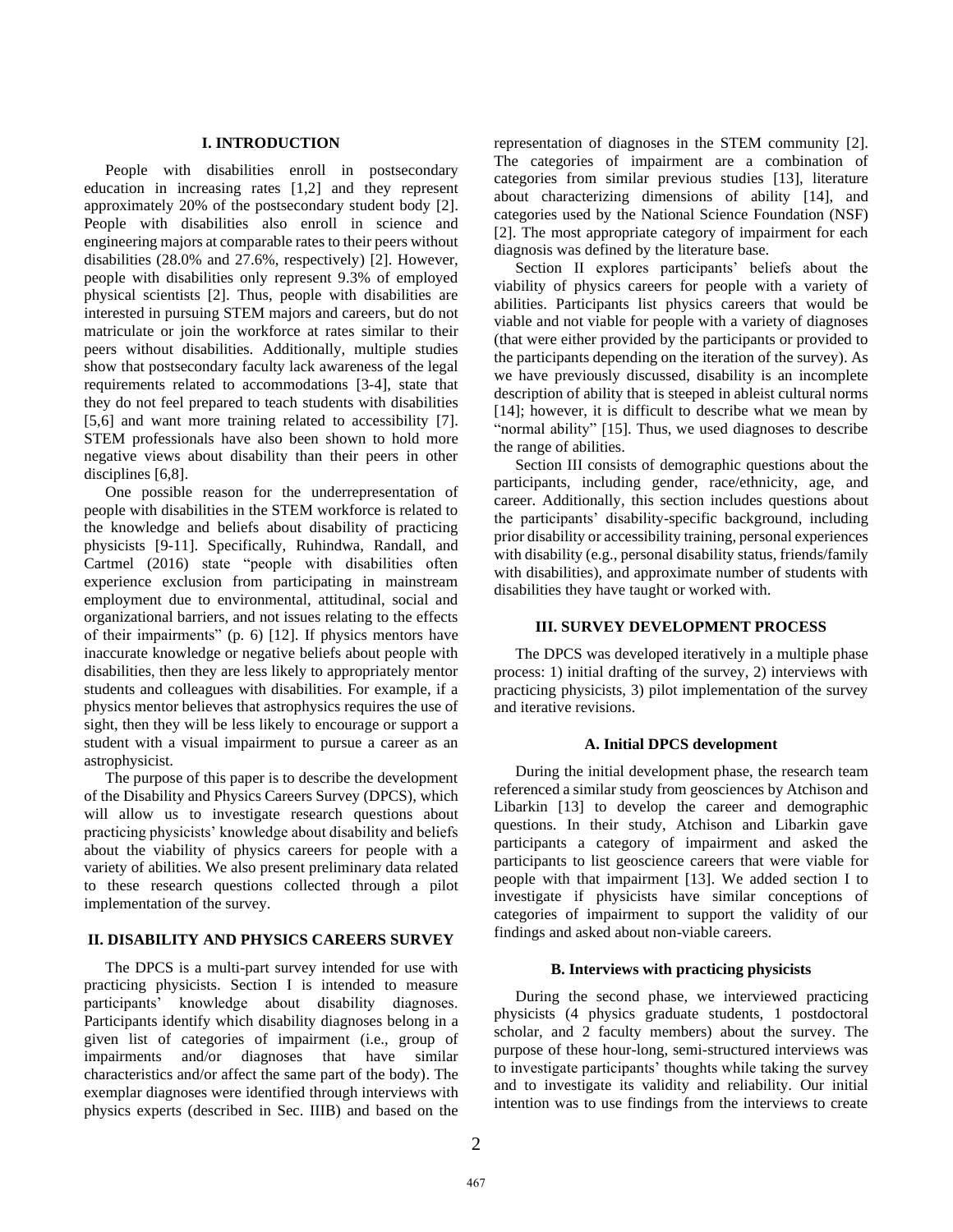### **I. INTRODUCTION**

People with disabilities enroll in postsecondary education in increasing rates [1,2] and they represent approximately 20% of the postsecondary student body [2]. People with disabilities also enroll in science and engineering majors at comparable rates to their peers without disabilities (28.0% and 27.6%, respectively) [2]. However, people with disabilities only represent 9.3% of employed physical scientists [2]. Thus, people with disabilities are interested in pursuing STEM majors and careers, but do not matriculate or join the workforce at rates similar to their peers without disabilities. Additionally, multiple studies show that postsecondary faculty lack awareness of the legal requirements related to accommodations [3-4], state that they do not feel prepared to teach students with disabilities [5,6] and want more training related to accessibility [7]. STEM professionals have also been shown to hold more negative views about disability than their peers in other disciplines [6,8].

One possible reason for the underrepresentation of people with disabilities in the STEM workforce is related to the knowledge and beliefs about disability of practicing physicists [9-11]. Specifically, Ruhindwa, Randall, and Cartmel (2016) state "people with disabilities often experience exclusion from participating in mainstream employment due to environmental, attitudinal, social and organizational barriers, and not issues relating to the effects of their impairments" (p. 6) [12]. If physics mentors have inaccurate knowledge or negative beliefs about people with disabilities, then they are less likely to appropriately mentor students and colleagues with disabilities. For example, if a physics mentor believes that astrophysics requires the use of sight, then they will be less likely to encourage or support a student with a visual impairment to pursue a career as an astrophysicist.

The purpose of this paper is to describe the development of the Disability and Physics Careers Survey (DPCS), which will allow us to investigate research questions about practicing physicists' knowledge about disability and beliefs about the viability of physics careers for people with a variety of abilities. We also present preliminary data related to these research questions collected through a pilot implementation of the survey.

# **II. DISABILITY AND PHYSICS CAREERS SURVEY**

The DPCS is a multi-part survey intended for use with practicing physicists. Section I is intended to measure participants' knowledge about disability diagnoses. Participants identify which disability diagnoses belong in a given list of categories of impairment (i.e., group of impairments and/or diagnoses that have similar characteristics and/or affect the same part of the body). The exemplar diagnoses were identified through interviews with physics experts (described in Sec. IIIB) and based on the

representation of diagnoses in the STEM community [2]. The categories of impairment are a combination of categories from similar previous studies [13], literature about characterizing dimensions of ability [14], and categories used by the National Science Foundation (NSF) [2]. The most appropriate category of impairment for each diagnosis was defined by the literature base.

Section II explores participants' beliefs about the viability of physics careers for people with a variety of abilities. Participants list physics careers that would be viable and not viable for people with a variety of diagnoses (that were either provided by the participants or provided to the participants depending on the iteration of the survey). As we have previously discussed, disability is an incomplete description of ability that is steeped in ableist cultural norms [14]; however, it is difficult to describe what we mean by "normal ability" [15]. Thus, we used diagnoses to describe the range of abilities.

Section III consists of demographic questions about the participants, including gender, race/ethnicity, age, and career. Additionally, this section includes questions about the participants' disability-specific background, including prior disability or accessibility training, personal experiences with disability (e.g., personal disability status, friends/family with disabilities), and approximate number of students with disabilities they have taught or worked with.

#### **III. SURVEY DEVELOPMENT PROCESS**

The DPCS was developed iteratively in a multiple phase process: 1) initial drafting of the survey, 2) interviews with practicing physicists, 3) pilot implementation of the survey and iterative revisions.

# **A. Initial DPCS development**

During the initial development phase, the research team referenced a similar study from geosciences by Atchison and Libarkin [13] to develop the career and demographic questions. In their study, Atchison and Libarkin gave participants a category of impairment and asked the participants to list geoscience careers that were viable for people with that impairment [13]. We added section I to investigate if physicists have similar conceptions of categories of impairment to support the validity of our findings and asked about non-viable careers.

### **B. Interviews with practicing physicists**

During the second phase, we interviewed practicing physicists (4 physics graduate students, 1 postdoctoral scholar, and 2 faculty members) about the survey. The purpose of these hour-long, semi-structured interviews was to investigate participants' thoughts while taking the survey and to investigate its validity and reliability. Our initial intention was to use findings from the interviews to create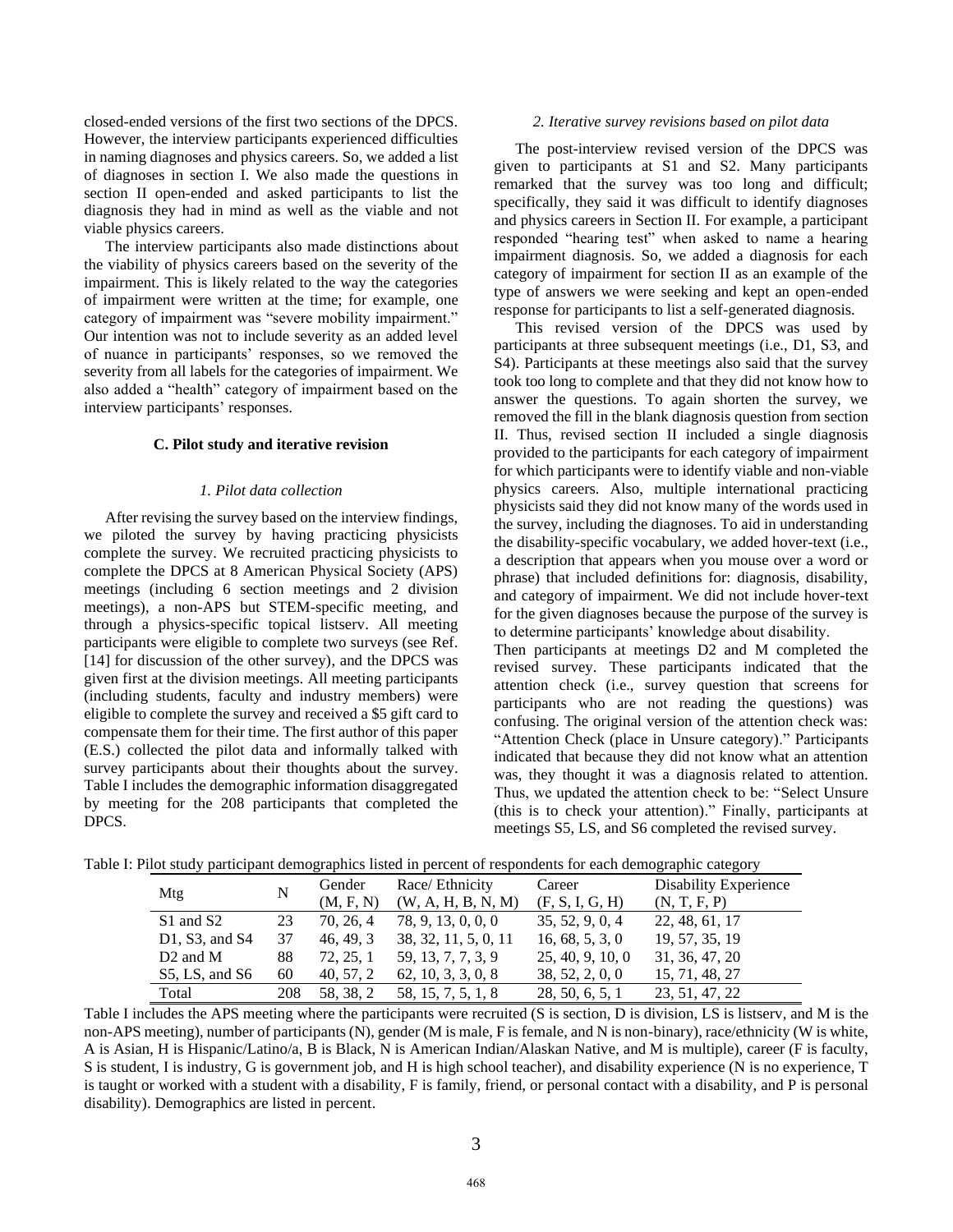closed-ended versions of the first two sections of the DPCS. However, the interview participants experienced difficulties in naming diagnoses and physics careers. So, we added a list of diagnoses in section I. We also made the questions in section II open-ended and asked participants to list the diagnosis they had in mind as well as the viable and not viable physics careers.

The interview participants also made distinctions about the viability of physics careers based on the severity of the impairment. This is likely related to the way the categories of impairment were written at the time; for example, one category of impairment was "severe mobility impairment." Our intention was not to include severity as an added level of nuance in participants' responses, so we removed the severity from all labels for the categories of impairment. We also added a "health" category of impairment based on the interview participants' responses.

### **C. Pilot study and iterative revision**

### *1. Pilot data collection*

After revising the survey based on the interview findings, we piloted the survey by having practicing physicists complete the survey. We recruited practicing physicists to complete the DPCS at 8 American Physical Society (APS) meetings (including 6 section meetings and 2 division meetings), a non-APS but STEM-specific meeting, and through a physics-specific topical listserv. All meeting participants were eligible to complete two surveys (see Ref. [14] for discussion of the other survey), and the DPCS was given first at the division meetings. All meeting participants (including students, faculty and industry members) were eligible to complete the survey and received a \$5 gift card to compensate them for their time. The first author of this paper (E.S.) collected the pilot data and informally talked with survey participants about their thoughts about the survey. Table I includes the demographic information disaggregated by meeting for the 208 participants that completed the DPCS.

#### *2. Iterative survey revisions based on pilot data*

The post-interview revised version of the DPCS was given to participants at S1 and S2. Many participants remarked that the survey was too long and difficult; specifically, they said it was difficult to identify diagnoses and physics careers in Section II. For example, a participant responded "hearing test" when asked to name a hearing impairment diagnosis. So, we added a diagnosis for each category of impairment for section II as an example of the type of answers we were seeking and kept an open-ended response for participants to list a self-generated diagnosis.

This revised version of the DPCS was used by participants at three subsequent meetings (i.e., D1, S3, and S4). Participants at these meetings also said that the survey took too long to complete and that they did not know how to answer the questions. To again shorten the survey, we removed the fill in the blank diagnosis question from section II. Thus, revised section II included a single diagnosis provided to the participants for each category of impairment for which participants were to identify viable and non-viable physics careers. Also, multiple international practicing physicists said they did not know many of the words used in the survey, including the diagnoses. To aid in understanding the disability-specific vocabulary, we added hover-text (i.e., a description that appears when you mouse over a word or phrase) that included definitions for: diagnosis, disability, and category of impairment. We did not include hover-text for the given diagnoses because the purpose of the survey is to determine participants' knowledge about disability.

Then participants at meetings D2 and M completed the revised survey. These participants indicated that the attention check (i.e., survey question that screens for participants who are not reading the questions) was confusing. The original version of the attention check was: "Attention Check (place in Unsure category)." Participants indicated that because they did not know what an attention was, they thought it was a diagnosis related to attention. Thus, we updated the attention check to be: "Select Unsure (this is to check your attention)." Finally, participants at meetings S5, LS, and S6 completed the revised survey.

|     | 1. I not state participant demographies moteu in percent of respondents for each demographic category |     |                           |                      |                  |                       |  |  |  |  |
|-----|-------------------------------------------------------------------------------------------------------|-----|---------------------------|----------------------|------------------|-----------------------|--|--|--|--|
| Mtg |                                                                                                       |     | Race/ Ethnicity<br>Gender |                      | Career           | Disability Experience |  |  |  |  |
|     |                                                                                                       |     | (M, F, N)                 | (W, A, H, B, N, M)   | (F, S, I, G, H)  | (N, T, F, P)          |  |  |  |  |
|     | S1 and S2                                                                                             | 23  | 70, 26, 4                 | 78, 9, 13, 0, 0, 0   | 35, 52, 9, 0, 4  | 22, 48, 61, 17        |  |  |  |  |
|     | $D1$ , S3, and S4                                                                                     | 37  | 46, 49, 3                 | 38, 32, 11, 5, 0, 11 | 16, 68, 5, 3, 0  | 19, 57, 35, 19        |  |  |  |  |
|     | $D2$ and M                                                                                            | 88  | 72, 25, 1                 | 59, 13, 7, 7, 3, 9   | 25, 40, 9, 10, 0 | 31, 36, 47, 20        |  |  |  |  |
|     | $S5$ , LS, and S6                                                                                     | 60  | 40, 57, 2                 | 62, 10, 3, 3, 0, 8   | 38, 52, 2, 0, 0  | 15, 71, 48, 27        |  |  |  |  |
|     | Total                                                                                                 | 208 | 58.38.2                   | 58, 15, 7, 5, 1, 8   | 28, 50, 6, 5, 1  | 23, 51, 47, 22        |  |  |  |  |

Table I: Pilot study participant demographics listed in percent of respondents for each demographic category

Table I includes the APS meeting where the participants were recruited (S is section, D is division, LS is listserv, and M is the non-APS meeting), number of participants (N), gender (M is male, F is female, and N is non-binary), race/ethnicity (W is white, A is Asian, H is Hispanic/Latino/a, B is Black, N is American Indian/Alaskan Native, and M is multiple), career (F is faculty, S is student, I is industry, G is government job, and H is high school teacher), and disability experience (N is no experience, T is taught or worked with a student with a disability, F is family, friend, or personal contact with a disability, and P is personal disability). Demographics are listed in percent.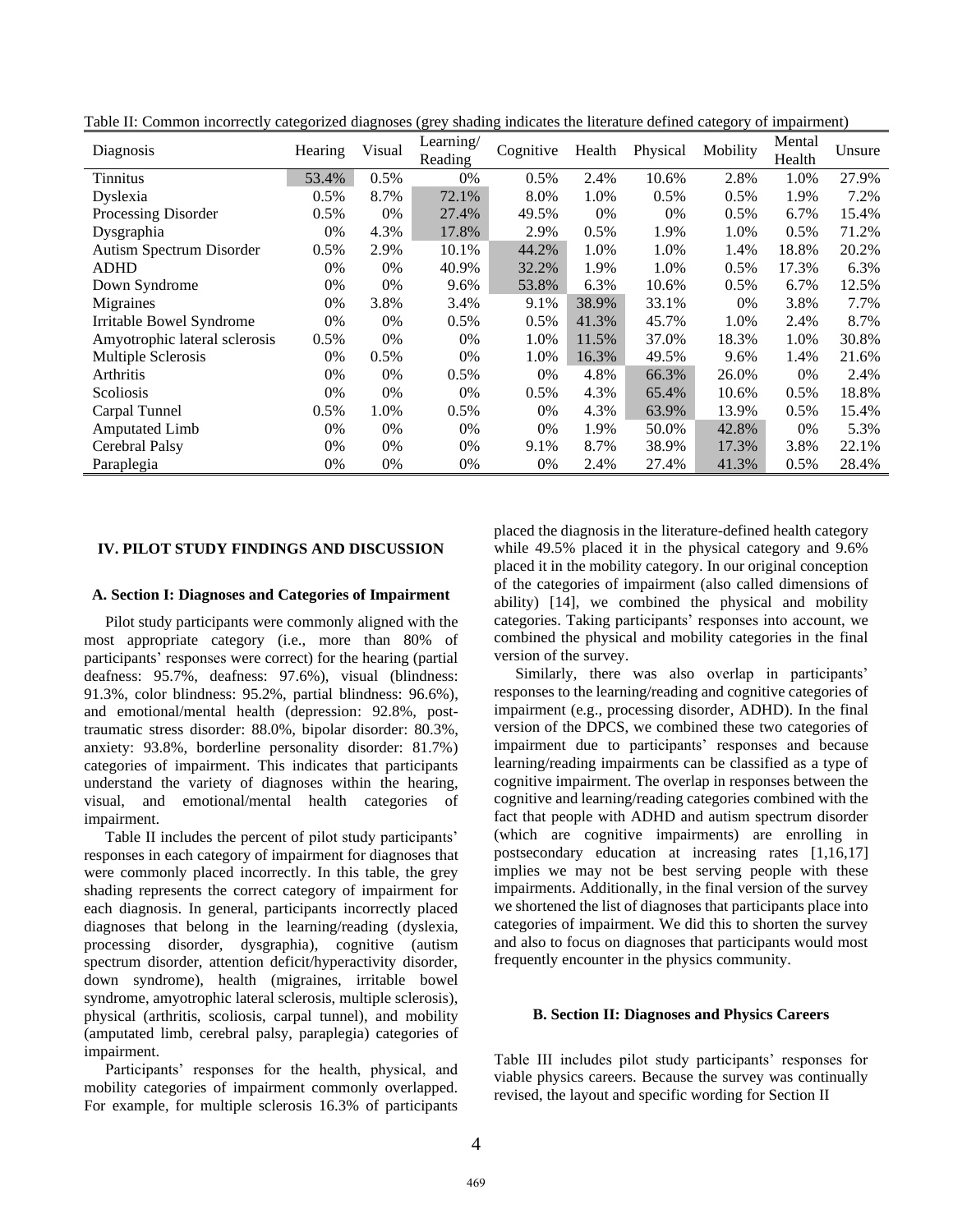| Diagnosis                     | Hearing | Visual | Learning/<br>Reading | Cognitive | Health | Physical | Mobility | Mental<br>Health | Unsure |
|-------------------------------|---------|--------|----------------------|-----------|--------|----------|----------|------------------|--------|
| Tinnitus                      | 53.4%   | 0.5%   | 0%                   | 0.5%      | 2.4%   | 10.6%    | 2.8%     | 1.0%             | 27.9%  |
| Dyslexia                      | 0.5%    | 8.7%   | 72.1%                | 8.0%      | 1.0%   | 0.5%     | 0.5%     | 1.9%             | 7.2%   |
| Processing Disorder           | 0.5%    | 0%     | 27.4%                | 49.5%     | 0%     | 0%       | 0.5%     | 6.7%             | 15.4%  |
| Dysgraphia                    | 0%      | 4.3%   | 17.8%                | 2.9%      | 0.5%   | 1.9%     | 1.0%     | 0.5%             | 71.2%  |
| Autism Spectrum Disorder      | 0.5%    | 2.9%   | 10.1%                | 44.2%     | 1.0%   | 1.0%     | 1.4%     | 18.8%            | 20.2%  |
| <b>ADHD</b>                   | 0%      | 0%     | 40.9%                | 32.2%     | 1.9%   | 1.0%     | 0.5%     | 17.3%            | 6.3%   |
| Down Syndrome                 | 0%      | $0\%$  | 9.6%                 | 53.8%     | 6.3%   | 10.6%    | $0.5\%$  | 6.7%             | 12.5%  |
| Migraines                     | 0%      | 3.8%   | 3.4%                 | 9.1%      | 38.9%  | 33.1%    | 0%       | 3.8%             | 7.7%   |
| Irritable Bowel Syndrome      | 0%      | $0\%$  | 0.5%                 | 0.5%      | 41.3%  | 45.7%    | 1.0%     | 2.4%             | 8.7%   |
| Amyotrophic lateral sclerosis | 0.5%    | 0%     | 0%                   | 1.0%      | 11.5%  | 37.0%    | 18.3%    | 1.0%             | 30.8%  |
| Multiple Sclerosis            | 0%      | 0.5%   | 0%                   | 1.0%      | 16.3%  | 49.5%    | 9.6%     | 1.4%             | 21.6%  |
| Arthritis                     | 0%      | $0\%$  | 0.5%                 | $0\%$     | 4.8%   | 66.3%    | 26.0%    | 0%               | 2.4%   |
| Scoliosis                     | 0%      | 0%     | 0%                   | 0.5%      | 4.3%   | 65.4%    | 10.6%    | 0.5%             | 18.8%  |
| Carpal Tunnel                 | 0.5%    | 1.0%   | 0.5%                 | $0\%$     | 4.3%   | 63.9%    | 13.9%    | 0.5%             | 15.4%  |
| Amputated Limb                | 0%      | $0\%$  | 0%                   | $0\%$     | 1.9%   | 50.0%    | 42.8%    | 0%               | 5.3%   |
| Cerebral Palsy                | 0%      | $0\%$  | 0%                   | 9.1%      | 8.7%   | 38.9%    | 17.3%    | 3.8%             | 22.1%  |
| Paraplegia                    | 0%      | 0%     | 0%                   | 0%        | 2.4%   | 27.4%    | 41.3%    | 0.5%             | 28.4%  |

Table II: Common incorrectly categorized diagnoses (grey shading indicates the literature defined category of impairment)

# **IV. PILOT STUDY FINDINGS AND DISCUSSION**

### **A. Section I: Diagnoses and Categories of Impairment**

Pilot study participants were commonly aligned with the most appropriate category (i.e., more than 80% of participants' responses were correct) for the hearing (partial deafness: 95.7%, deafness: 97.6%), visual (blindness: 91.3%, color blindness: 95.2%, partial blindness: 96.6%), and emotional/mental health (depression: 92.8%, posttraumatic stress disorder: 88.0%, bipolar disorder: 80.3%, anxiety: 93.8%, borderline personality disorder: 81.7%) categories of impairment. This indicates that participants understand the variety of diagnoses within the hearing, visual, and emotional/mental health categories of impairment.

Table II includes the percent of pilot study participants' responses in each category of impairment for diagnoses that were commonly placed incorrectly. In this table, the grey shading represents the correct category of impairment for each diagnosis. In general, participants incorrectly placed diagnoses that belong in the learning/reading (dyslexia, processing disorder, dysgraphia), cognitive (autism spectrum disorder, attention deficit/hyperactivity disorder, down syndrome), health (migraines, irritable bowel syndrome, amyotrophic lateral sclerosis, multiple sclerosis), physical (arthritis, scoliosis, carpal tunnel), and mobility (amputated limb, cerebral palsy, paraplegia) categories of impairment.

Participants' responses for the health, physical, and mobility categories of impairment commonly overlapped. For example, for multiple sclerosis 16.3% of participants

placed the diagnosis in the literature-defined health category while 49.5% placed it in the physical category and 9.6% placed it in the mobility category. In our original conception of the categories of impairment (also called dimensions of ability) [14], we combined the physical and mobility categories. Taking participants' responses into account, we combined the physical and mobility categories in the final version of the survey.

Similarly, there was also overlap in participants' responses to the learning/reading and cognitive categories of impairment (e.g., processing disorder, ADHD). In the final version of the DPCS, we combined these two categories of impairment due to participants' responses and because learning/reading impairments can be classified as a type of cognitive impairment. The overlap in responses between the cognitive and learning/reading categories combined with the fact that people with ADHD and autism spectrum disorder (which are cognitive impairments) are enrolling in postsecondary education at increasing rates [1,16,17] implies we may not be best serving people with these impairments. Additionally, in the final version of the survey we shortened the list of diagnoses that participants place into categories of impairment. We did this to shorten the survey and also to focus on diagnoses that participants would most frequently encounter in the physics community.

## **B. Section II: Diagnoses and Physics Careers**

Table III includes pilot study participants' responses for viable physics careers. Because the survey was continually revised, the layout and specific wording for Section II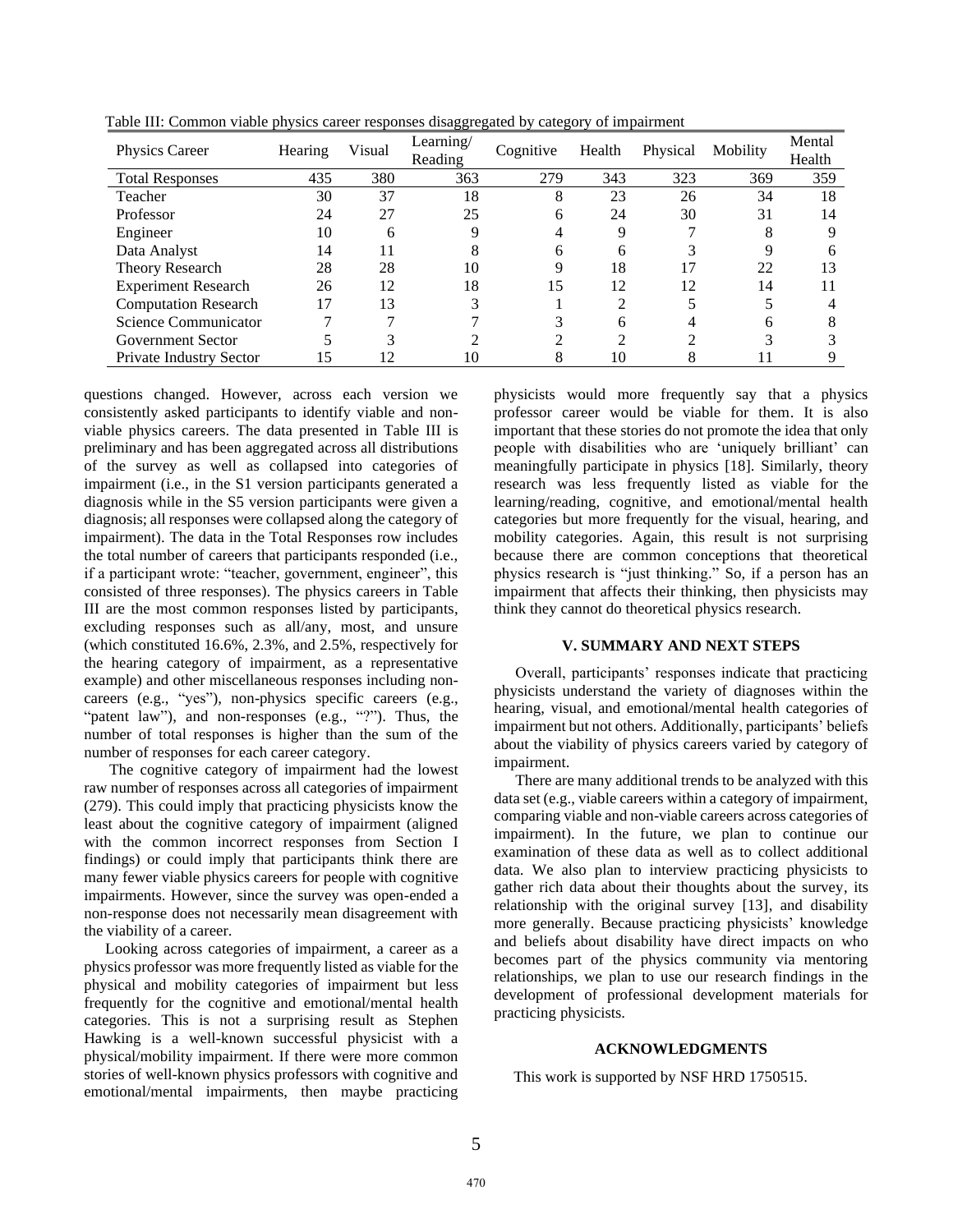| Physics Career              | Hearing | Visual | Learning/<br>Reading | Cognitive | Health | Physical | Mobility | Mental<br>Health |
|-----------------------------|---------|--------|----------------------|-----------|--------|----------|----------|------------------|
| <b>Total Responses</b>      | 435     | 380    | 363                  | 279       | 343    | 323      | 369      | 359              |
| Teacher                     | 30      | 37     | 18                   | 8         | 23     | 26       | 34       | 18               |
| Professor                   | 24      | 27     | 25                   | 6         | 24     | 30       | 31       | 14               |
| Engineer                    | 10      | 6      | Q                    |           | 9      |          |          |                  |
| Data Analyst                | 14      | 11     | Λ                    | 6         | 6      |          |          |                  |
| Theory Research             | 28      | 28     | 10                   | 9         | 18     |          | 22       | 13               |
| <b>Experiment Research</b>  | 26      | 12     | 18                   | 15        | 12     | 12       | 14       |                  |
| <b>Computation Research</b> | 17      | 13     |                      |           | ◠      |          |          |                  |
| Science Communicator        |         |        |                      |           | 6      |          |          |                  |
| <b>Government Sector</b>    |         |        |                      |           | ◠      | ◠        |          |                  |
| Private Industry Sector     | .5      |        | 10                   | 8         | 10     |          |          |                  |

Table III: Common viable physics career responses disaggregated by category of impairment

questions changed. However, across each version we consistently asked participants to identify viable and nonviable physics careers. The data presented in Table III is preliminary and has been aggregated across all distributions of the survey as well as collapsed into categories of impairment (i.e., in the S1 version participants generated a diagnosis while in the S5 version participants were given a diagnosis; all responses were collapsed along the category of impairment). The data in the Total Responses row includes the total number of careers that participants responded (i.e., if a participant wrote: "teacher, government, engineer", this consisted of three responses). The physics careers in Table III are the most common responses listed by participants, excluding responses such as all/any, most, and unsure (which constituted 16.6%, 2.3%, and 2.5%, respectively for the hearing category of impairment, as a representative example) and other miscellaneous responses including noncareers (e.g., "yes"), non-physics specific careers (e.g., "patent law"), and non-responses (e.g., "?"). Thus, the number of total responses is higher than the sum of the number of responses for each career category.

The cognitive category of impairment had the lowest raw number of responses across all categories of impairment (279). This could imply that practicing physicists know the least about the cognitive category of impairment (aligned with the common incorrect responses from Section I findings) or could imply that participants think there are many fewer viable physics careers for people with cognitive impairments. However, since the survey was open-ended a non-response does not necessarily mean disagreement with the viability of a career.

Looking across categories of impairment, a career as a physics professor was more frequently listed as viable for the physical and mobility categories of impairment but less frequently for the cognitive and emotional/mental health categories. This is not a surprising result as Stephen Hawking is a well-known successful physicist with a physical/mobility impairment. If there were more common stories of well-known physics professors with cognitive and emotional/mental impairments, then maybe practicing

physicists would more frequently say that a physics professor career would be viable for them. It is also important that these stories do not promote the idea that only people with disabilities who are 'uniquely brilliant' can meaningfully participate in physics [18]. Similarly, theory research was less frequently listed as viable for the learning/reading, cognitive, and emotional/mental health categories but more frequently for the visual, hearing, and mobility categories. Again, this result is not surprising because there are common conceptions that theoretical physics research is "just thinking." So, if a person has an impairment that affects their thinking, then physicists may think they cannot do theoretical physics research.

### **V. SUMMARY AND NEXT STEPS**

Overall, participants' responses indicate that practicing physicists understand the variety of diagnoses within the hearing, visual, and emotional/mental health categories of impairment but not others. Additionally, participants' beliefs about the viability of physics careers varied by category of impairment.

There are many additional trends to be analyzed with this data set (e.g., viable careers within a category of impairment, comparing viable and non-viable careers across categories of impairment). In the future, we plan to continue our examination of these data as well as to collect additional data. We also plan to interview practicing physicists to gather rich data about their thoughts about the survey, its relationship with the original survey [13], and disability more generally. Because practicing physicists' knowledge and beliefs about disability have direct impacts on who becomes part of the physics community via mentoring relationships, we plan to use our research findings in the development of professional development materials for practicing physicists.

#### **ACKNOWLEDGMENTS**

This work is supported by NSF HRD 1750515.